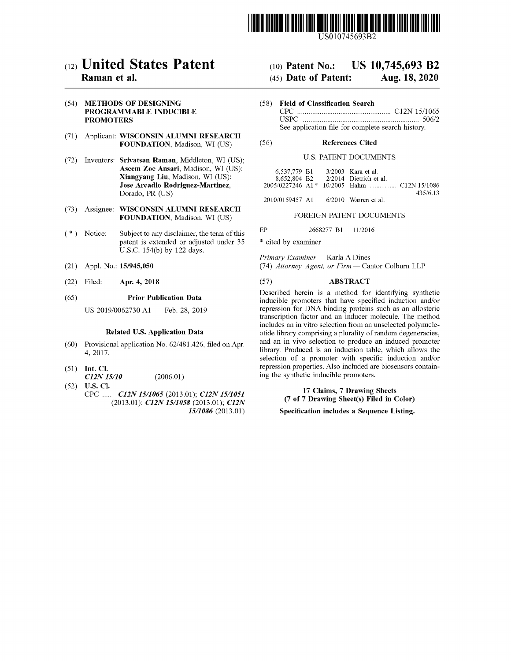

US010745693B2

## c12) **United States Patent**

### **Raman et al.**

(54) **METHODS OF DESIGNING PROGRAMMABLE INDUCIBLE PROMOTERS** 

- (71) Applicant: **WISCONSIN ALUMNI RESEARCH FOUNDATION,** Madison, WI (US)
- (72) Inventors: **Srivatsan Raman,** Middleton, WI (US); **Aseem Zoe Ansari,** Madison, WI (US); **Xiangyang Liu,** Madison, WI (US); **Jose Arcadio Rodriguez-Martinez,**  Dorado, PR (US)
- (73) Assignee: **WISCONSIN ALUMNI RESEARCH FOUNDATION,** Madison, WI (US)
- (\*) Notice: Subject to any disclaimer, the term of this patent is extended or adjusted under 35 U.S.C. 154(b) by 122 days.
- (21) Appl. No.: **15/945,050**
- (22) Filed: **Apr. 4, 2018**

#### (65) **Prior Publication Data**

US 2019/0062730 Al Feb. 28, 2019

#### **Related U.S. Application Data**

- (60) Provisional application No. 62/ 481,426, filed on Apr. 4, 2017.
- (51) **Int. Cl.**
- (52) **U.S. Cl.**  *C12N 15110*  (2006.01)
- CPC ..... *C12N 1511065* (2013.01); *C12N 1511051*  (2013.01); *C12N 1511058* (2013.01); *C12N 1511086* (2013.01)

## (IO) **Patent No.: US 10,745,693 B2**

## (45) **Date of Patent: Aug. 18, 2020**

(58) **Field of Classification Search**  CPC .................................................. C12N 15/1065 USPC .............................................................. 506/2 See application file for complete search history.

#### (56) **References Cited**

#### U.S. PATENT DOCUMENTS

| 6.537.779 B1             |  | 3/2003 Kara et al.     |          |
|--------------------------|--|------------------------|----------|
| 8.652.804 B <sub>2</sub> |  | 2/2014 Dietrich et al. |          |
|                          |  |                        |          |
|                          |  |                        | 435/6.13 |

2010/0159457 Al 6/2010 Warren et al.

#### FOREIGN PATENT DOCUMENTS

EP 2668277 Bl 11/2016

\* cited by examiner

*Primary Examiner* - Karla A Dines (74) *Attorney, Agent, or Firm* - Cantor Colburn LLP

#### (57) **ABSTRACT**

Described herein is a method for identifying synthetic inducible promoters that have specified induction and/or repression for DNA binding proteins such as an allosteric transcription factor and an inducer molecule. The method includes an in vitro selection from an unselected polynucleotide library comprising a plurality of random degeneracies, and an in vivo selection to produce an induced promoter library. Produced is an induction table, which allows the selection of a promoter with specific induction and/or repression properties. Also included are biosensors containing the synthetic inducible promoters.

> **17 Claims, 7 Drawing Sheets (7 of 7 Drawing Sheet(s) Filed in Color)**

#### **Specification includes a Sequence Listing.**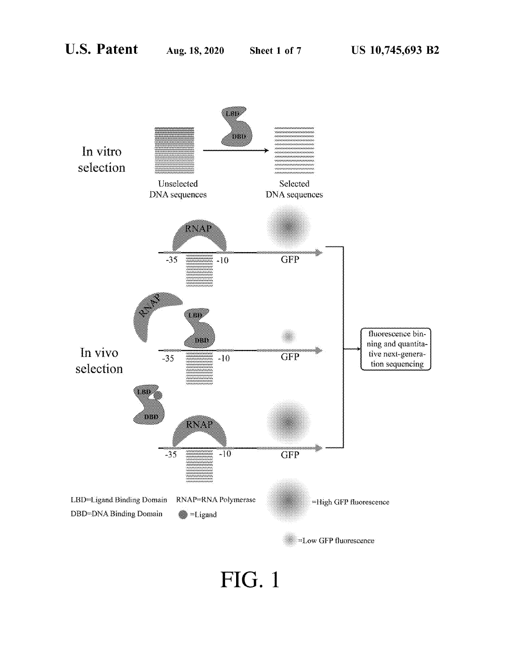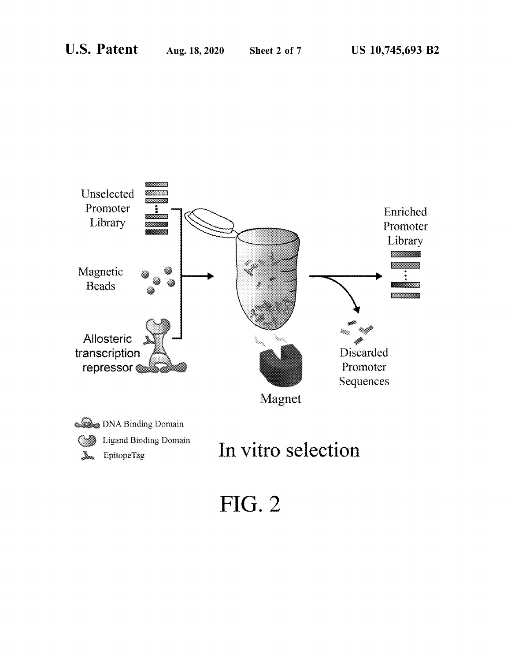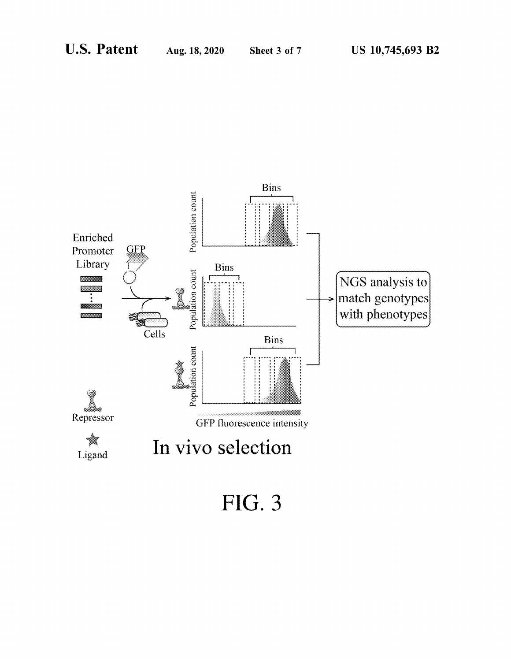

**FIG. 3**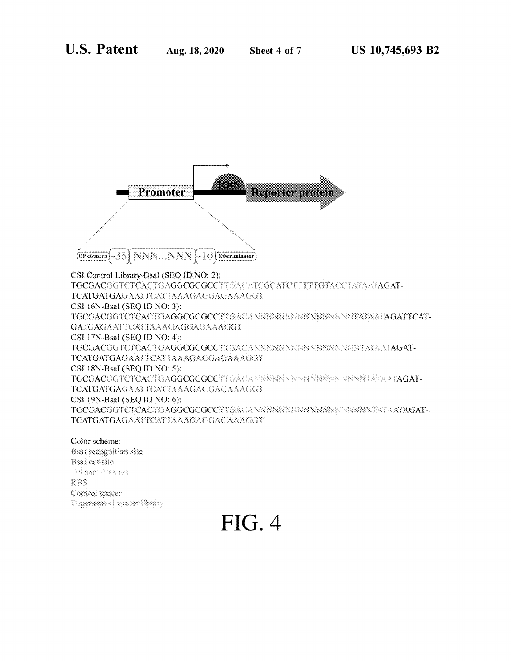

Bsal recognition site Bsal out site  $-35$  and  $-10$  sites. RBS Control spacer Degenerated spacer thrany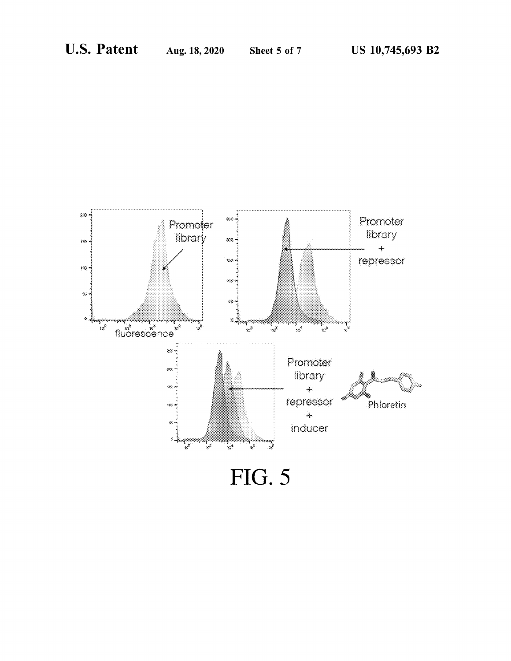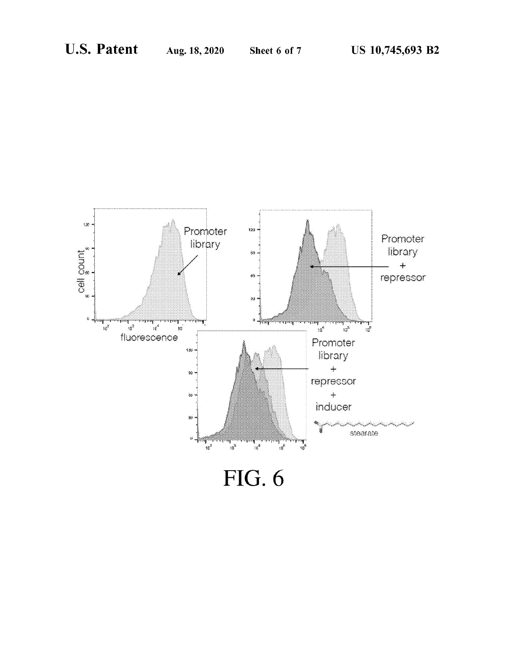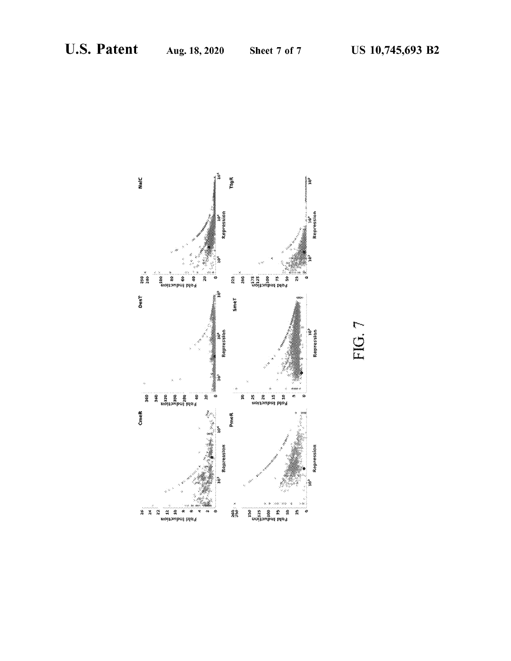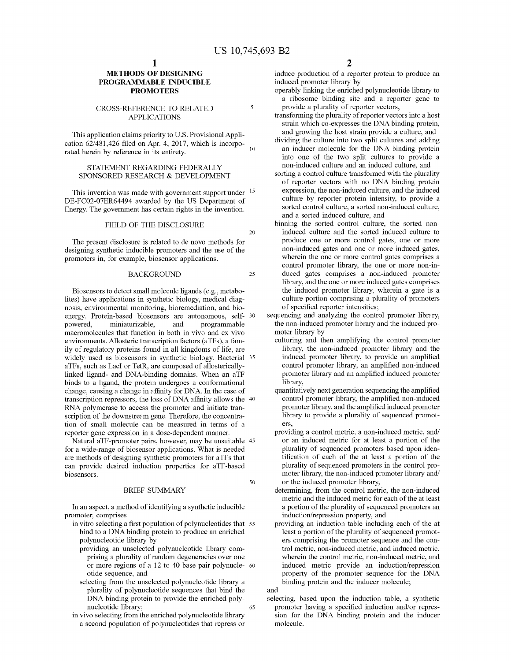20

25

50

#### **METHODS OF DESIGNING PROGRAMMABLE INDUCIBLE PROMOTERS**

#### CROSS-REFERENCE TO RELATED APPLICATIONS

This application claims priority to U.S. Provisional Application 62/481,426 filed on Apr. 4, 2017, which is incorporated herein by reference in its entirety.

#### STATEMENT REGARDING FEDERALLY SPONSORED RESEARCH & DEVELOPMENT

This invention was made with government support under <sup>15</sup> DE-FC02-07ER64494 awarded by the US Department of Energy. The govermnent has certain rights in the invention.

#### FIELD OF THE DISCLOSURE

The present disclosure is related to de nova methods for designing synthetic inducible promoters and the use of the promoters in, for example, biosensor applications.

#### BACKGROUND

Biosensors to detect small molecule ligands (e.g., metabolites) have applications in synthetic biology, medical diagnosis, environmental monitoring, bioremediation, and bioenergy. Protein-based biosensors are autonomous, self- 30 powered, miniaturizable, and programmable macromolecules that function in both in vivo and ex vivo environments. Allosteric transcription factors (aTFs ), a family of regulatory proteins found in all kingdoms of life, are widely used as biosensors in synthetic biology. Bacterial 35 aTFs, such as Lael or TetR, are composed of allostericallylinked ligand- and DNA-binding domains. When an aTF binds to a ligand, the protein undergoes a conformational change, causing a change in affinity for DNA. In the case of transcription repressors, the loss of DNA affinity allows the 40 RNA polymerase to access the promoter and initiate transcription of the downstream gene. Therefore, the concentration of small molecule can be measured in terms of a reporter gene expression in a dose-dependent mamier.

Natural aTF-promoter pairs, however, may be unsuitable 45 for a wide-range of biosensor applications. What is needed are methods of designing synthetic promoters for aTFs that can provide desired induction properties for aTF-based biosensors.

#### BRIEF SUMMARY

In an aspect, a method of identifying a synthetic inducible promoter, comprises

- in vitro selecting a first population of polynucleotides that 55 bind to a DNA binding protein to produce an enriched polynucleotide library by
	- providing an unselected polynucleotide library com-
	- prising a plurality of random degeneracies over one or more regions of a 12 to 40 base pair polynucle- <sup>60</sup> otide sequence, and
	- selecting from the unselected polynucleotide library a plurality of polynucleotide sequences that bind the DNA binding protein to provide the enriched polynucleotide library; 65
- in vivo selecting from the enriched polynucleotide library a second population of polynucleotides that repress or

induce production of a reporter protein to produce an induced promoter library by

- operably linking the enriched polynucleotide library to a ribosome binding site and a reporter gene to provide a plurality of reporter vectors,
- transforming the plurality of reporter vectors into a host strain which co-expresses the DNA binding protein, and growing the host strain provide a culture, and
- dividing the culture into two split cultures and adding an inducer molecule for the DNA binding protein into one of the two split cultures to provide a non-induced culture and an induced culture, and
- sorting a control culture transformed with the plurality of reporter vectors with no DNA binding protein expression, the non-induced culture, and the induced culture by reporter protein intensity, to provide a sorted control culture, a sorted non-induced culture, and a sorted induced culture, and
- binning the sorted control culture, the sorted noninduced culture and the sorted induced culture to produce one or more control gates, one or more non-induced gates and one or more induced gates, wherein the one or more control gates comprises a control promoter library, the one or more non-induced gates comprises a non-induced promoter library, and the one or more induced gates comprises the induced promoter library, wherein a gate is a culture portion comprising a plurality of promoters of specified reporter intensities;
- sequencing and analyzing the control promoter library, the non-induced promoter library and the induced promoter library by
	- culturing and then amplifying the control promoter library, the non-induced promoter library and the induced promoter library, to provide an amplified control promoter library, an amplified non-induced promoter library and an amplified induced promoter library,
	- quantitatively next generation sequencing the amplified control promoter library, the amplified non-induced promoter library, and the amplified induced promoter library to provide a plurality of sequenced promoters,
	- providing a control metric, a non-induced metric, and/ or an induced metric for at least a portion of the plurality of sequenced promoters based upon identification of each of the at least a portion of the plurality of sequenced promoters in the control promoter library, the non-induced promoter library and/ or the induced promoter library,
	- determining, from the control metric, the non-induced metric and the induced metric for each of the at least a portion of the plurality of sequenced promoters an induction/repression property, and
	- providing an induction table including each of the at least a portion of the plurality of sequenced promoters comprising the promoter sequence and the control metric, non-induced metric, and induced metric, wherein the control metric, non-induced metric, and induced metric provide an induction/repression property of the promoter sequence for the DNA binding protein and the inducer molecule;

and

selecting, based upon the induction table, a synthetic promoter having a specified induction and/or repression for the DNA binding protein and the inducer molecule.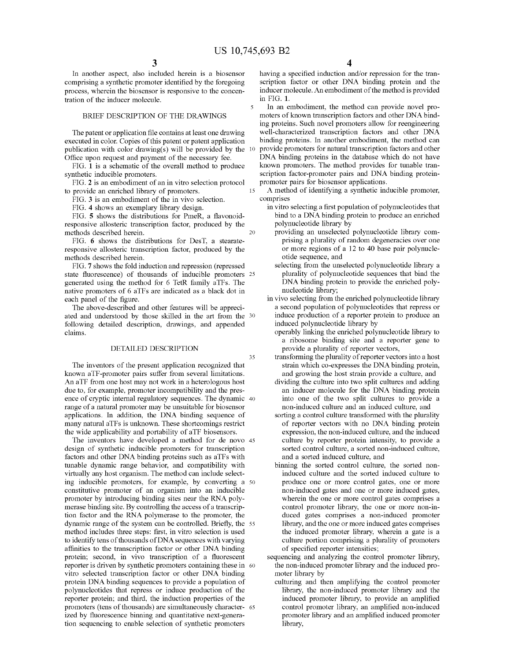15

35

In another aspect, also included herein is a biosensor comprising a synthetic promoter identified by the foregoing process, wherein the biosensor is responsive to the concentration of the inducer molecule.

#### BRIEF DESCRIPTION OF THE DRAWINGS

The patent or application file contains at least one drawing executed in color. Copies of this patent or patent application publication with color drawing(s) will be provided by the  $10$ Office upon request and payment of the necessary fee.

FIG. **1** is a schematic of the overall method to produce synthetic inducible promoters.

FIG. **2** is an embodiment of an in vitro selection protocol to provide an enriched library of promoters.

FIG. **3** is an embodiment of the in vivo selection.

FIG. **4** shows an exemplary library design.

FIG. **5** shows the distributions for PmeR, a flavonoidresponsive allosteric transcription factor, produced by the methods described herein. 20

FIG. **6** shows the distributions for DesT, a stearateresponsive allosteric transcription factor, produced by the methods described herein.

FIG. **7** shows the fold induction and repression (repressed state fluorescence) of thousands of inducible promoters 25 generated using the method for 6 TetR family aTFs. The native promoters of 6 aTFs are indicated as a black dot in each panel of the figure.

The above-described and other features will be appreciated and understood by those skilled in the art from the 30 following detailed description, drawings, and appended claims.

#### DETAILED DESCRIPTION

The inventors of the present application recognized that known aTF-promoter pairs suffer from several limitations. An aTF from one host may not work in a heterologous host due to, for example, promoter incompatibility and the presence of cryptic internal regulatory sequences. The dynamic 40 range of a natural promoter may be unsuitable for biosensor applications. In addition, the DNA binding sequence of many natural aTFs is unknown. These shortcomings restrict the wide applicability and portability of aTF biosensors.

The inventors have developed a method for de novo 45 design of synthetic inducible promoters for transcription factors and other DNA binding proteins such as aTFs with tunable dynamic range behavior, and compatibility with virtually any host organism. The method can include selecting inducible promoters, for example, by converting a 50 constitutive promoter of an organism into an inducible promoter by introducing binding sites near the RNA polymerase binding site. By controlling the access of a transcription factor and the RNA polymerase to the promoter, the dynamic range of the system can be controlled. Briefly, the 55 method includes three steps: first, in vitro selection is used to identify tens of thousands of DNA sequences with varying affinities to the transcription factor or other DNA binding protein; second, in vivo transcription of a fluorescent reporter is driven by synthetic promoters containing these in 60 vitro selected transcription factor or other DNA binding protein DNA binding sequences to provide a population of polynucleotides that repress or induce production of the reporter protein; and third, the induction properties of the promoters (tens of thousands) are simultaneously character- <sup>65</sup> ized by fluorescence binning and quantitative next-generation sequencing to enable selection of synthetic promoters

**4** 

having a specified induction and/or repression for the transcription factor or other DNA binding protein and the inducer molecule. An embodiment of the method is provided in FIG. **1.** 

In an embodiment, the method can provide novel promoters of known transcription factors and other DNA binding proteins. Such novel promoters allow for reengineering well-characterized transcription factors and other DNA binding proteins. In another embodiment, the method can provide promoters for natural transcription factors and other DNA binding proteins in the database which do not have known promoters. The method provides for tunable transcription factor-promoter pairs and DNA binding proteinpromoter pairs for biosensor applications.

A method of identifying a synthetic inducible promoter, comprises

- in vitro selecting a first population of polynucleotides that bind to a DNA binding protein to produce an enriched polynucleotide library by
	- providing an unselected polynucleotide library comprising a plurality of random degeneracies over one or more regions of a 12 to 40 base pair polynucleotide sequence, and
	- selecting from the unselected polynucleotide library a plurality of polynucleotide sequences that bind the DNA binding protein to provide the enriched polynucleotide library;
- in vivo selecting from the enriched polynucleotide library a second population of polynucleotides that repress or induce production of a reporter protein to produce an induced polynucleotide library by
	- operably linking the enriched polynucleotide library to a ribosome binding site and a reporter gene to provide a plurality of reporter vectors,
	- transforming the plurality of reporter vectors into a host strain which co-expresses the DNA binding protein, and growing the host strain provide a culture, and
	- dividing the culture into two split cultures and adding an inducer molecule for the DNA binding protein into one of the two split cultures to provide a non-induced culture and an induced culture, and
	- sorting a control culture transformed with the plurality of reporter vectors with no DNA binding protein expression, the non-induced culture, and the induced culture by reporter protein intensity, to provide a sorted control culture, a sorted non-induced culture, and a sorted induced culture, and
	- binning the sorted control culture, the sorted noninduced culture and the sorted induced culture to produce one or more control gates, one or more non-induced gates and one or more induced gates, wherein the one or more control gates comprises a control promoter library, the one or more non-induced gates comprises a non-induced promoter library, and the one or more induced gates comprises the induced promoter library, wherein a gate is a culture portion comprising a plurality of promoters of specified reporter intensities;
- sequencing and analyzing the control promoter library, the non-induced promoter library and the induced promoter library by
	- culturing and then amplifying the control promoter library, the non-induced promoter library and the induced promoter library, to provide an amplified control promoter library, an amplified non-induced promoter library and an amplified induced promoter library,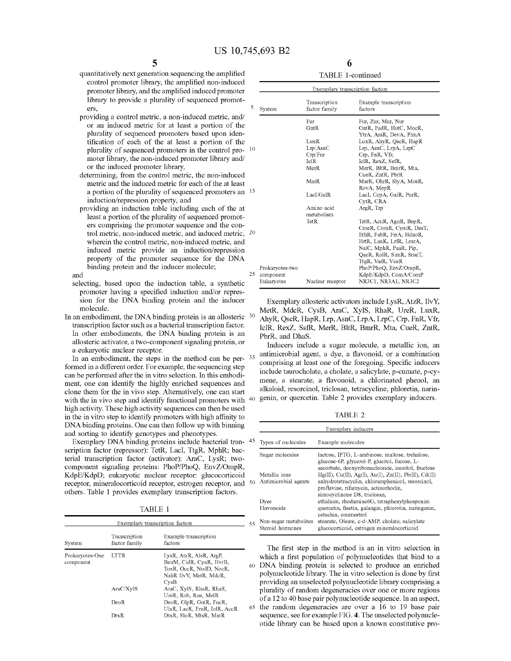- quantitatively next generation sequencing the amplified control promoter library, the amplified non-induced promoter library, and the amplified induced promoter library to provide a plurality of sequenced promot- $\text{ers},$   $\frac{5}{3}$  System
- providing a control metric, a non-induced metric, and/ or an induced metric for at least a portion of the plurality of sequenced promoters based upon identification of each of the at least a portion of the plurality of sequenced promoters in the control pro- <sup>10</sup> mater library, the non-induced promoter library and/ or the induced promoter library,
- determining, from the control metric, the non-induced metric and the induced metric for each of the at least a portion of the plurality of sequenced promoters an  $1$ induction/repression property, and
- providing an induction table including each of the at least a portion of the plurality of sequenced promoters comprising the promoter sequence and the control metric, non-induced metric, and induced metric, <sup>2</sup> wherein the control metric, non-induced metric, and induced metric provide an induction/repression property of the promoter sequence for the DNA binding protein and the inducer molecule;  $\frac{2}{\sqrt{2}}$ and
- selecting, based upon the induction table, a synthetic promoter having a specified induction and/or repression for the DNA binding protein and the inducer molecule.
- In an embodiment, the DNA binding protein is an allosteric <sup>30</sup> transcription factor such as a bacterial transcription factor. In other embodiments, the DNA binding protein is an allosteric activator, a two-component signaling protein, or a eukaryotic nuclear receptor.

In an embodiment, the steps in the method can be per- 35 formed in a different order. For example, the sequencing step can be performed after the in vitro selection. In this embodiment, one can identify the highly enriched sequences and clone them for the in vivo step. Alternatively, one can start with the in vivo step and identify functional promoters with high activity. These high activity sequences can then be used in the in vitro step to identify promoters with high affinity to DNA binding proteins. One can then follow up with binning and sorting to identify genotypes and phenotypes.

Exemplary DNA binding proteins include bacterial tran-45 scription factor (repressor): TetR, Lael, TtgR, MphR; bacterial transcription factor (activator): AraC, LysR; twocomponent signaling proteins: PhoP/PhoQ, EnvZ/OmpR, KdpE/KdpD; eukaryotic nuclear receptor: glucocorticoid receptor, mineralocorticoid receptor, estrogen receptor, and 50 others. Table **1** provides exemplary transcription factors.

TABLE **1** 

| Exemplary transcription factors |                                |                                                                                                                 |  |  |
|---------------------------------|--------------------------------|-----------------------------------------------------------------------------------------------------------------|--|--|
| System                          | Transcription<br>factor family | Example transcription<br>factors                                                                                |  |  |
| Prokaryotes-One<br>component    | <b>LTTR</b>                    | LysR, AtzR, AlsR, ArgP,<br>BenM, CidR, CynR, HvrB,<br>ToxR, OccR, NodD, NocR,<br>NahR IlvY, MetR, MdcR,<br>CvSB |  |  |
|                                 | AraC/XvlS                      | AraC, XylS, RhaR, RhaS,<br>UreR, Rob, Rns, MelR                                                                 |  |  |
|                                 | DeoR                           | DeoR, GlpR, GutR, FucR,<br>UlaR, LacR, FruR, IolR, AccR                                                         |  |  |
|                                 | DtxR                           | DtxR, SloR, MtsR, MntR                                                                                          |  |  |

**5 6**  TABLE I-continued

|                 | Exemplary transcription factors |                                  |
|-----------------|---------------------------------|----------------------------------|
| System          | Transcription<br>factor family  | Example transcription<br>factors |
|                 | Fur                             | Fur, Zur, Mur, Nur               |
|                 | $G$ nt $R$                      | GntR, FadR, HutC, MocR,          |
|                 |                                 | YtrA, AraR, DevA, PlmA           |
|                 | LuxR                            | LuxR, AhyR, OscR, HapR           |
|                 | Lrp/AsnC                        | Lrp, AsnC, LrpA, LrpC            |
|                 | Crp/Fnr                         | Crp, FnR, Vfr,                   |
|                 | IclR                            | IclR, RexZ, SsfR,                |
|                 | MerR                            | MerR, BltR, BmrR, Mta,           |
|                 |                                 | CueR, ZntR, PbrR                 |
|                 | MarR                            | MarR, OhrR, SlyA, MosR,          |
|                 |                                 | RovA, MepR                       |
|                 | LacI/GalR                       | LacI, CepA, GalR, PurR,          |
|                 |                                 | CytR, CRA                        |
|                 | Amino acid                      | ArgR. Trp                        |
|                 | metabolism                      |                                  |
|                 | TetR                            | TetR, AcuR, AguR, BepR,          |
|                 |                                 | CmeR, ComR, CymR, DesT,          |
|                 |                                 | EthR, FabR, FrrA, HdnoR,         |
|                 |                                 | HrtR, LanK, LrfR, LmrA,          |
|                 |                                 | NalC, MphR, PaaR, Pip,           |
|                 |                                 | QacR, RolR, SimR, SmeT,          |
|                 |                                 | TtgR, VarR, VceR                 |
| Prokaryotes-two |                                 | PhoP/PhoQ, EnvZ/OmpR,            |
| component       |                                 | KdpE/KdpD, ComA/ComP             |
| Eukaryotes      | Nuclear receptor                | NR3C1, NR3A1, NR3C2              |

Exemplary allosteric activators include LysR, AtzR, IlvY, MetR, MdcR, CysB, AraC, XylS, RhaR, UreR, LuxR, AhyR, QscR, HapR, Lrp, AsnC, LrpA, LrpC, Crp, FnR, Vfr, IclR, RexZ, SsfR, MerR, BltR, BmrR, Mta, CueR, ZntR, PbrR, and DhaS.

Inducers include a sugar molecule, a metallic ion, an antimicrobial agent, a dye, a flavonoid, or a combination comprising at least one of the foregoing. Specific inducers include taurocholate, a cholate, a salicylate, p-cumate, p-cymene, a stearate, a flavonoid, a chlorinated phenol, an alkaloid, resorcinol, triclosan, tetracycline, phloretin, narin-40 genin, or quercetin. Table 2 provides exemplary inducers.

TABLE 2

|    |                                           | Exemplary inducers                                                                                                                                                                  |
|----|-------------------------------------------|-------------------------------------------------------------------------------------------------------------------------------------------------------------------------------------|
| 45 | Types of molecules                        | Example molecules                                                                                                                                                                   |
|    | Sugar molecules                           | lactose, IPTG, L-arabinose, maltose, trehalose,<br>glucose-6P, glycerol-P, glucitol, fucose, L-<br>ascorbate, deoxyribonucleoside, inositol, fructose                               |
| 50 | Metallic ions<br>Antimicrobial agents     | $Hg(II)$ , Cu(II), Ag(I), Au(I), Zn(II), Pb(II), Cd(II)<br>anhydrotetracyclin, chloramphenicol, resorcinol,<br>proflavine, rifamycin, actinorhodin,<br>simocyclinone D8, triclosan, |
|    | Dyes<br>Flavonoids                        | ethidium, rhodamine6G, tetraphenylphosponim<br>quercetin, fisetin, galangin, phlorotin, naringenin,<br>cetachin, coumestrol                                                         |
| 55 | Non-sugar metabolites<br>Steroid hormones | stearate, Oleate, c-d-AMP, cholate, salicylate<br>glucocorticoid, estrogen mineralocorticoid                                                                                        |

The first step in the method is an in vitro selection in which a first population of polynucleotides that bind to a 60 DNA binding protein is selected to produce an enriched polynucleotide library. The in vitro selection is done by first providing an unselected polynucleotide library comprising a plurality of random degeneracies over one or more regions of a 12 to **40** base pair polynucleotide sequence. In an aspect, 65 the random degeneracies are over a 16 to 19 base pair sequence, see for example FIG. **4.** The unselected polynucleotide library can be based upon a known constitutive pro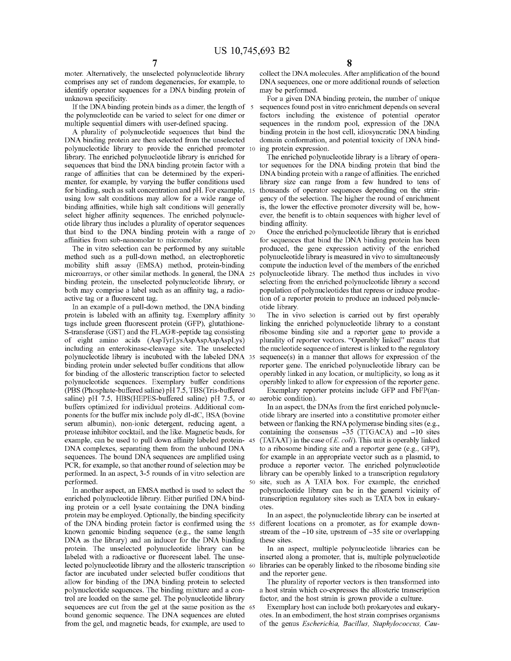mater. Alternatively, the unselected polynucleotide library comprises any set of random degeneracies, for example, to identify operator sequences for a DNA binding protein of unknown specificity.

If the DNA binding protein binds as a dimer, the length of  $5$ the polynucleotide can be varied to select for one dimer or multiple sequential dimers with user-defined spacing.

A plurality of polynucleotide sequences that bind the DNA binding protein are then selected from the unselected polynucleotide library to provide the enriched promoter 10 library. The enriched polynucleotide library is enriched for sequences that bind the DNA binding protein factor with a range of affinities that can be determined by the experimenter, for example, by varying the buffer conditions used for binding, such as salt concentration and pH. For example, 15 using low salt conditions may allow for a wide range of binding affinities, while high salt conditions will generally select higher affinity sequences. The enriched polynucleotide library thus includes a plurality of operator sequences that bind to the DNA binding protein with a range of 20 affinities from sub-nanomolar to micromolar.

The in vitro selection can be performed by any suitable method such as a pull-down method, an electrophoretic mobility shift assay (EMSA) method, protein-binding microarrays, or other similar methods. In general, the DNA 25 binding protein, the unselected polynucleotide library, or both may comprise a label such as an affinity tag, a radioactive tag or a fluorescent tag.

In an example of a pull-down method, the DNA binding protein is labeled with an affinity tag. Exemplary affinity 30 tags include green fluorescent protein (GFP), glutathione-S-transferase (GST) and the FLAG®-peptide tag consisting of eight amino acids (AspTyrLysAspAspAspAspLys) including an enterokinase-cleavage site. The unselected polynucleotide library is incubated with the labeled DNA 35 binding protein under selected buffer conditions that allow for binding of the allosteric transcription factor to selected polynucleotide sequences. Exemplary buffer conditions (PBS (Phosphate-buffered saline) pH 7 .5, TBS(Tris-buffered saline) pH 7.5, HBS(HEPES-buffered saline) pH 7.5, or 40 buffers optimized for individual proteins. Additional components for the buffer mix include poly dI-dC, BSA (bovine seruni albumin), non-ionic detergent, reducing agent, a protease inhibitor cocktail, and the like. Magnetic beads, for example, can be used to pull down affinity labeled protein- 45 DNA complexes, separating them from the unbound DNA sequences. The bound DNA sequences are amplified using PCR, for example, so that another round of selection may be performed. In an aspect, 3-5 rounds of in vitro selection are

In another aspect, an EMSA method is used to select the enriched polynucleotide library. Either purified DNA binding protein or a cell lysate containing the DNA binding protein may be employed. Optionally, the binding specificity of the DNA binding protein factor is confirmed using the 55 different locations on a promoter, as for example downknown genomic binding sequence (e.g., the same length DNA as the library) and an inducer for the DNA binding protein. The unselected polynucleotide library can be labeled with a radioactive or fluorescent label. The unselected polynucleotide library and the allosteric transcription 60 factor are incubated under selected buffer conditions that allow for binding of the DNA binding protein to selected polynucleotide sequences. The binding mixture and a control are loaded on the same gel. The polynucleotide library sequences are cut from the gel at the same position as the 65 bound genomic sequence. The DNA sequences are eluted from the gel, and magnetic beads, for example, are used to

collect the DNA molecules. After amplification of the bound DNA sequences, one or more additional rounds of selection may be performed.

For a given DNA binding protein, the number of unique sequences found post in vitro enrichment depends on several factors including the existence of potential operator sequences in the random pool, expression of the DNA binding protein in the host cell, idiosyncratic DNA binding domain conformation, and potential toxicity of DNA binding protein expression.

The enriched polynucleotide library is a library of operator sequences for the DNA binding protein that bind the DNA binding protein with a range of affinities. The enriched library size can range from a few hundred to tens of thousands of operator sequences depending on the stringency of the selection. The higher the round of enrichment is, the lower the effective promoter diversity will be, however, the benefit is to obtain sequences with higher level of binding affinity.

Once the enriched polynucleotide library that is enriched for sequences that bind the DNA binding protein has been produced, the gene expression activity of the enriched polynucleotide library is measured in vivo to simultaneously compute the induction level of the members of the enriched polynucleotide library. The method thus includes in vivo selecting from the enriched polynucleotide library a second population of polynucleotides that repress or induce production of a reporter protein to produce an induced polynucleotide library.

The in vivo selection is carried out by first operably linking the enriched polynucleotide library to a constant ribosome binding site and a reporter gene to provide a plurality of reporter vectors. "Operably linked" means that the nucleotide sequence of interest is linked to the regulatory sequence(s) in a manner that allows for expression of the reporter gene. The enriched polynucleotide library can be operably linked in any location, or multiplicity, so long as it operably linked to allow for expression of the reporter gene. Exemplary reporter proteins include GFP and FbFP(an-

aerobic condition).

In an aspect, the DNAs from the first enriched polynucleotide library are inserted into a constitutive promoter either between or flanking the RNA polymerase binding sites (e.g., containing the consensus -35 (TTGACA) and -10 sites (TATAAT) in the case of *E. coli).* This unit is operably linked to a ribosome binding site and a reporter gene (e.g., GFP), for example in an appropriate vector such as a plasmid, to produce a reporter vector. The enriched polynucleotide library can be operably linked to a transcription regulatory site, such as A TATA box. For example, the enriched polynucleotide library can be in the general vicinity of transcription regulatory sites such as TATA box in eukaryotes.

In an aspect, the polynucleotide library can be inserted at stream of the -10 site, upstream of -35 site or overlapping these sites.

In an aspect, multiple polynucleotide libraries can be inserted along a promoter, that is, multiple polynucleotide libraries can be operably linked to the ribosome binding site and the reporter gene.

The plurality of reporter vectors is then transformed into a host strain which co-expresses the allosteric transcription factor, and the host strain is grown provide a culture.

Exemplary host can include both prokaryotes and eukaryotes. In an embodiment, the host strain comprises organisms of the genus *Escherichia, Bacillus, Staphylococcus, Cau-*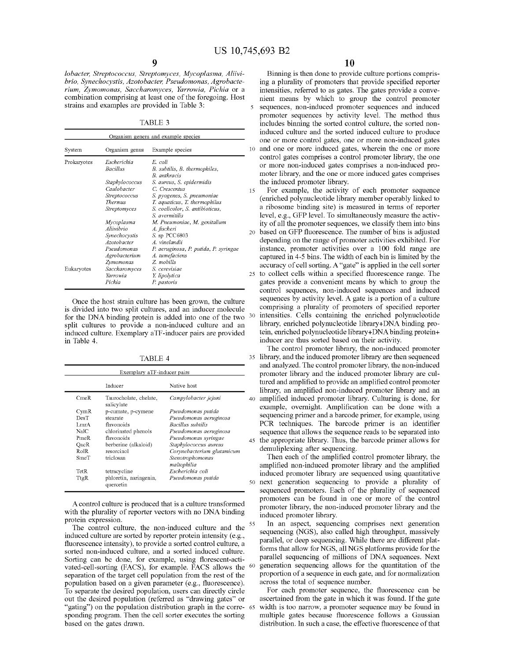*lobacter, Streptococcus, Streptomyces, Mycoplasma, Aliivibrio, Synechocystis, Azotobacter, Pseudomonas, Agrobacterium, Zymomonas, Saccharomyces, Yarrowia, Pichia* or a combination comprising at least one of the foregoing. Host strains and examples are provided in Table 3:

TABLE 3

|             |                                                                                          | Organism genera and example species                                                                                                        |    |
|-------------|------------------------------------------------------------------------------------------|--------------------------------------------------------------------------------------------------------------------------------------------|----|
| System      | Organism genus                                                                           | Example species                                                                                                                            | 10 |
| Prokaryotes | Escherichia<br>Bacillus<br>Staphylococcus                                                | E. coli<br>B. subtilis, B. thermophiles,<br><b>B.</b> anthracis<br>S. aureus, S. epidermidis                                               |    |
|             | Caulobacter<br>Streptococcus<br><b>Thermus</b><br>Streptomyces                           | C. Crescentus<br>S. pyogenes, S. pneumoniae<br>T. aquaticus, T. thermophilus<br>S. coelicolor, S. antibioticus,<br>S. avermitilis          | 15 |
|             | Mycoplasma<br>Aliivibrio<br>Synechocystis<br>Azotobacter<br>Pseudomonas<br>Agrobacterium | M. Pneumoniae, M. genitalium<br>A. fischeri<br>$S.$ sp PCC6803<br>A. vinelandii<br>P. aeruginosa, P. putida, P. syringae<br>A. tumefaciens | 20 |
| Eukaryotes  | Zymomonas<br>Saccharomyces<br>Yarrowia<br>Pichia                                         | Z. mobills<br>S. cerevisiae<br>Y. lipolytica<br>P. pastoris                                                                                | 25 |

Once the host strain culture has been grown, the culture is divided into two split cultures, and an inducer molecule for the DNA binding protein is added into one of the two split cultures to provide a non-induced culture and an induced culture. Exemplary aTF-inducer pairs are provided in Table 4.

TABLE 4

|       | Inducer                              | Native host                     |
|-------|--------------------------------------|---------------------------------|
| CmeR  | Taurocholate, chelate,<br>salicylate | Campylobacter jejuni            |
| CymR  | p-cumate, p-cymene                   | Pseudomonas putida              |
| DesT  | stearate                             | Pseudomonas aeruginosa          |
| LmrA  | flavonoids                           | Bacillus subtilis               |
| NalC. | chlorinated phenols                  | Pseudomonas aeruginosa          |
| PmeR  | flavonoids                           | Pseudomonas syringae            |
| OacR  | berberine (alkaloid)                 | Staphylococcus aureus           |
| RolR  | resorcinol                           | Corynebacterium glutamicum      |
| SmeT  | triclosan                            | Stenotrophomonas<br>maltophilia |
| TetR  | tetracycline                         | Escherichia coli                |
| TtgR  | phloretin, naringenin,<br>quercetin  | Pseudomonas putida              |

A control culture is produced that is a culture transformed with the plurality of reporter vectors with no DNA binding

protein expression.<br>The control culture, the non-induced culture and the <sup>55</sup> induced culture are sorted by reporter protein intensity (e.g., fluorescence intensity), to provide a sorted control culture, a sorted non-induced culture, and a sorted induced culture. Sorting can be done, for example, using florescent-activated-cell-sorting (FACS), for example. FACS allows the separation of the target cell population from the rest of the population based on a given parameter (e.g., fluorescence). To separate the desired population, users can directly circle out the desired population (referred as "drawing gates" or "gating") on the population distribution graph in the corre- 65 sponding program. Then the cell sorter executes the sorting based on the gates drawn.

Binning is then done to provide culture portions comprising a plurality of promoters that provide specified reporter intensities, referred to as gates. The gates provide a convenient means by which to group the control promoter 5 sequences, non-induced promoter sequences and induced promoter sequences by activity level. The method thus includes binning the sorted control culture, the sorted noninduced culture and the sorted induced culture to produce one or more control gates, one or more non-induced gates 10 and one or more induced gates, wherein the one or more control gates comprises a control promoter library, the one or more non-induced gates comprises a non-induced promoter library, and the one or more induced gates comprises the induced promoter library.

For example, the activity of each promoter sequence ( enriched polynucleotide library member operably linked to a ribosome binding site) is measured in terms of reporter level, e.g., GFP level. To simultaneously measure the activity of all the promoter sequences, we classify them into bins 20 based on GFP fluorescence. The number of bins is adjusted depending on the range of promoter activities exhibited. For instance, promoter activities over a 100 fold range are captured in 4-5 bins. The width of each bin is limited by the accuracy of cell sorting. A "gate" is applied in the cell sorter 25 to collect cells within a specified fluorescence range. The gates provide a convenient means by which to group the control sequences, non-induced sequences and induced sequences by activity level. A gate is a portion of a culture comprising a plurality of promoters of specified reporter intensities. Cells containing the enriched polynucleotide library, enriched polynucleotide library+DNA binding protein, enriched polynucleotide library+DNA binding protein+ inducer are thus sorted based on their activity.

The control promoter library, the non-induced promoter 35 library, and the induced promoter library are then sequenced and analyzed. The control promoter library, the non-induced promoter library and the induced promoter library are cultured and amplified to provide an amplified control promoter library, an amplified non-induced promoter library and an 40 amplified induced promoter library. Culturing is done, for example, overnight. Amplification can be done with a sequencing primer and a barcode primer, for example, using PCR techniques. The barcode primer is an identifier sequence that allows the sequence reads to be separated into 45 the appropriate library. Thus, the barcode primer allows for demuliplexing after sequencing.

Then each of the amplified control promoter library, the amplified non-induced promoter library and the amplified induced promoter library are sequenced using quantitative 50 next generation sequencing to provide a plurality of sequenced promoters. Each of the plurality of sequenced promoters can be found in one or more of the control promoter library, the non-induced promoter library and the induced promoter library.

In an aspect, sequencing comprises next generation sequencing (NGS), also called high throughput, massively parallel, or deep sequencing. While there are different platforms that allow for NGS, all NGS platforms provide for the parallel sequencing of millions of DNA sequences. Next generation sequencing allows for the quantitation of the proportion of a sequence in each gate, and for normalization across the total of sequence number.

For each promoter sequence, the fluorescence can be ascertained from the gate in which it was found. If the gate width is too narrow, a promoter sequence may be found in multiple gates because fluorescence follows a Gaussian distribution. In such a case, the effective fluorescence of that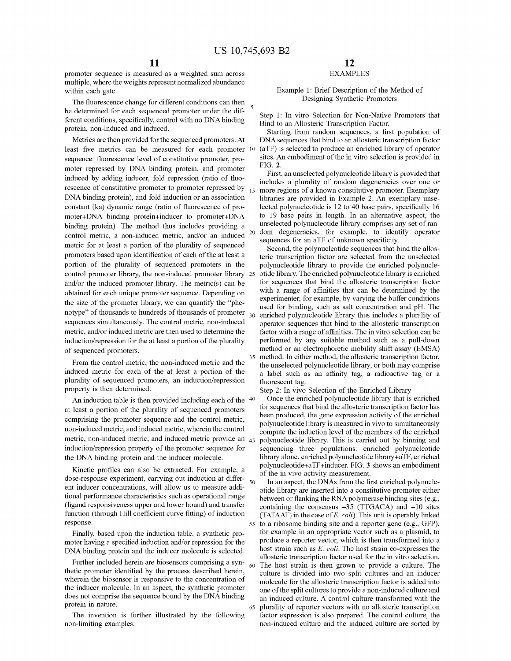promoter sequence is measured as a weighted sum across multiple, where the weights represent normalized abundance within each gate.

The fluorescence change for different conditions can then The step is the different conditions of each sequenced promoter under the different of Step 1: In vitro Selection for Non-Native Promoters that Bind to an Allosteri ferent conditions, specifically, control with no DNA binding protein, non-induced and induced.

Metrics are then provided for the sequenced promoters. At least five metrics can be measured for each promoter sites. An embodiment of the in vitro selection is provided in sequence: fluorescence level of constitutive promoter, promoter repressed by DNA binding protein, and promoter induced by adding inducer, fold repression (ratio of fluorescence of constitutive promoter to promoter repressed by  $_{15}$ DNA binding protein), and fold induction or an association constant (ka) dynamic range (ratio of fluorescence of promoter+DNA binding protein+inducer to promoter+DNA binding protein). The method thus includes providing a control metric, a non-induced metric, and/or an induced <sup>20</sup> metric for at least a portion of the plurality of sequenced promoters based upon identification of each of the at least a portion of the plurality of sequenced promoters in the control promoter library, the non-induced promoter library 25 and/or the induced promoter library. The metric(s) can be obtained for each unique promoter sequence. Depending on the size of the promoter library, we can quantify the "phenotype" of thousands to hundreds of thousands of promoter sequences simultaneously. The control metric, non-induced operator sequences that bind to the allosteric transcription metric, and/or induced metric are then used to determine the induction/repression for the at least a portion of the plurality of sequenced promoters.

From the control metric, the non-induced metric and the induced metric for each of the at least a portion of the plurality of sequenced promoters, an induction/repression property is then determined.

An induction table is then provided including each of the  $40$ at least a portion of the plurality of sequenced promoters comprising the promoter sequence and the control metric, non-induced metric, and induced metric, wherein the control metric, non-induced metric, and induced metric provide an  $_{45}$ induction/repression property of the promoter sequence for the DNA binding protein and the inducer molecule.

dose-response experiment, carrying out induction at differ-<br>ent inducer concentrations, will allow us to measure additional performance characteristics such as operational range (ligand responsiveness upper and lower bound) and transfer function (through Hill coefficient curve fitting) of induction response.

Finally, based upon the induction table, a synthetic promoter having a specified induction and/or repression for the DNA binding protein and the inducer molecule is selected.

Further included herein are biosensors comprising a synthetic promoter identified by the process described herein, wherein the biosensor is responsive to the concentration of the inducer molecule. In an aspect, the synthetic promoter does not comprise the sequence bound by the DNA binding protein in nature.

The invention is further illustrated by the following non-limiting examples.

#### EXAMPLES

## Example **1:** Brief Description of the Method of

Starting from random sequences, a first population of DNA sequences that bind to an allosteric transcription factor (aTF) is selected to produce an enriched library of operator

FIG. **2.** 

First, an unselected polynucleotide library is provided that includes a plurality of random degeneracies over one or more regions of a known constitutive promoter. Exemplary libraries are provided in Example 2. An exemplary unselected polynucleotide is 12 to **40** base pairs, specifically 16 to 19 base pairs in length. In an alternative aspect, the unselected polynucleotide library comprises any set of random degeneracies, for example, to identify operator sequences for an aTF of unknown specificity.

Second, the polynucleotide sequences that bind the allosteric transcription factor are selected from the unselected polynucleotide library to provide the enriched polynucleotide library. The enriched polynucleotide library is enriched for sequences that bind the allosteric transcription factor with a range of affinities that can be determined by the experimenter, for example, by varying the buffer conditions used for binding, such as salt concentration and pH. The enriched polynucleotide library thus includes a plurality of factor with a range of affinities. The in vitro selection can be performed by any suitable method such as a pull-down method or an electrophoretic mobility shift assay (EMSA) method. In either method, the allosteric transcription factor, the unselected polynucleotide library, or both may comprise a label such as an affinity tag, a radioactive tag or a fluorescent tag.

Step 2: In vivo Selection of the Enriched Library

Once the enriched polynucleotide library that is enriched for sequences that bind the allosteric transcription factor has been produced, the gene expression activity of the enriched polynucleotide library is measured in vivo to simultaneously compute the induction level of the members of the enriched polynucleotide library. This is carried out by binning and sequencing three populations: enriched polynucleotide library alone, enriched polynucleotide library+aTF, enriched polynucleotide+aTF+inducer. FIG. **3** shows an embodiment Kinetic profiles can also be extracted. For example, a of the in vivo activity measurement.

> In an aspect, the DNAs from the first enriched polynucleotide library are inserted into a constitutive promoter either between or flanking the RNA polymerase binding sites (e.g., containing the consensus -35 (TTGACA) and **-10** sites (TATAAT) in the case of E. *coli).* This unit is operably linked 55 to a ribosome binding site and a reporter gene (e.g., GFP), for example in an appropriate vector such as a plasmid, to produce a reporter vector, which is then transformed into a host strain such as E. *coli.* The host strain co-expresses the allosteric transcription factor used for the in vitro selection. The host strain is then grown to provide a culture. The culture is divided into two split cultures and an inducer molecule for the allosteric transcription factor is added into one of the split cultures to provide a non-induced culture and an induced culture. A control culture transformed with the plurality of reporter vectors with no allosteric transcription factor expression is also prepared. The control culture, the non-induced culture and the induced culture are sorted by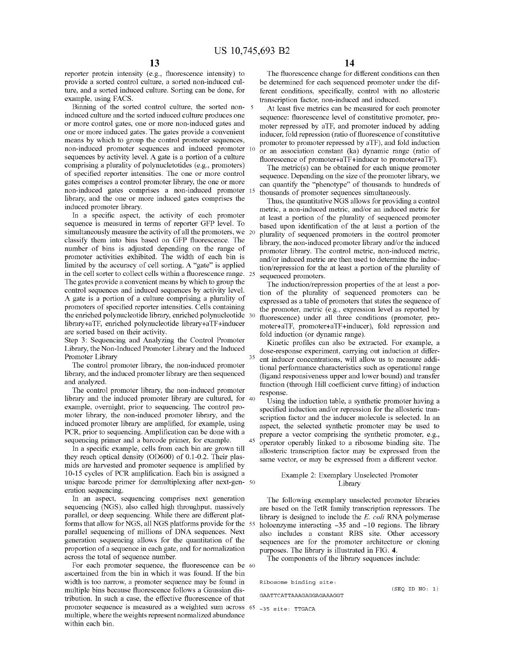reporter protein intensity (e.g., fluorescence intensity) to provide a sorted control culture, a sorted non-induced culture, and a sorted induced culture. Sorting can be done, for example, using FACS.

Binning of the sorted control culture, the sorted non- <sup>5</sup> induced culture and the sorted induced culture produces one or more control gates, one or more non-induced gates and one or more induced gates. The gates provide a convenient means by which to group the control promoter sequences, non-induced promoter sequences and induced promoter sequences by activity level. A gate is a portion of a culture comprising a plurality of polynucletotides (e.g., promoters) of specified reporter intensities. The one or more control gates comprises a control promoter library, the one or more non-induced gates comprises a non-induced promoter library, and the one or more induced gates comprises the induced promoter library.

In a specific aspect, the activity of each promoter sequence is measured in terms of reporter GFP level. To simultaneously measure the activity of all the promoters, we 20 classify them into bins based on GFP fluorescence. The number of bins is adjusted depending on the range of promoter activities exhibited. The width of each bin is limited by the accuracy of cell sorting. A "gate" is applied in the cell sorter to collect cells within a fluorescence range. The gates provide a convenient means by which to group the control sequences and induced sequences by activity level. A gate is a portion of a culture comprising a plurality of promoters of specified reporter intensities. Cells containing the enriched polynucleotide library, enriched polynucleotide library+aTF, enriched polynucleotide library+aTF +inducer are sorted based on their activity.

Step 3: Sequencing and Analyzing the Control Promoter Library, the Non-Induced Promoter Library and the Induced Promoter Library

The control promoter library, the non-induced promoter library, and the induced promoter library are then sequenced and analyzed.

The control promoter library, the non-induced promoter library and the induced promoter library are cultured, for 40 example, overnight, prior to sequencing. The control promoter library, the non-induced promoter library, and the induced promoter library are amplified, for example, using PCR, prior to sequencing. Amplification can be done with a sequencing primer and a barcode primer, for example.

In a specific example, cells from each bin are grown till they reach optical density (OD600) of 0.1-0.2. Their plasmids are harvested and promoter sequence is amplified by 10-15 cycles of PCR amplification. Each bin is assigned a unique barcode primer for demultiplexing after next-gen- 50 eration sequencing.

In an aspect, sequencing comprises next generation sequencing (NGS), also called high throughput, massively parallel, or deep sequencing. While there are different platforms that allow for NGS, all NGS platforms provide for the 55 parallel sequencing of millions of DNA sequences. Next generation sequencing allows for the quantitation of the proportion of a sequence in each gate, and for normalization across the total of sequence number.

For each promoter sequence, the fluorescence can be 60 ascertained from the bin in which it was found. If the bin width is too narrow, a promoter sequence may be found in multiple bins because fluorescence follows a Gaussian distribution. In such a case, the effective fluorescence of that promoter sequence is measured as a weighted sum across 65 -35 site, TTGACA multiple, where the weights represent normalized abundance within each bin.

The fluorescence change for different conditions can then be determined for each sequenced promoter under the different conditions, specifically, control with no allosteric transcription factor, non-induced and induced.

At least five metrics can be measured for each promoter sequence: fluorescence level of constitutive promoter, promoter repressed by aTF, and promoter induced by adding inducer, fold repression (ratio of fluorescence of constitutive promoter to promoter repressed by aTF), and fold induction or an association constant (ka) dynamic range (ratio of fluorescence of promoter+aTF +inducer to promoter+aTF).

The metric(s) can be obtained for each unique promoter sequence. Depending on the size of the promoter library, we can quantify the "phenotype" of thousands to hundreds of thousands of promoter sequences simultaneously.

Thus, the quantitative NGS allows for providing a control metric, a non-induced metric, and/or an induced metric for at least a portion of the plurality of sequenced promoter based upon identification of the at least a portion of the plurality of sequenced promoters in the control promoter library, the non-induced promoter library and/or the induced promoter library. The control metric, non-induced metric, and/or induced metric are then used to determine the induction/repression for the at least a portion of the plurality of sequenced promoters.

The induction/repression properties of the at least a portion of the plurality of sequenced promoters can be expressed as a table of promoters that states the sequence of the promoter, metric (e.g., expression level as reported by fluorescence) under all three conditions (promoter, promoter+aTF, promoter+aTF+inducer), fold repression and fold induction (or dynamic range).

Kinetic profiles can also be extracted. For example, a dose-response experiment, carrying out induction at differ-<sup>35</sup> ent inducer concentrations, will allow us to measure additional performance characteristics such as operational range (ligand responsiveness upper and lower bound) and transfer function (through Hill coefficient curve fitting) of induction response.

Using the induction table, a synthetic promoter having a specified induction and/or repression for the allosteric transcription factor and the inducer molecule is selected. In an aspect, the selected synthetic promoter may be used to prepare a vector comprising the synthetic promoter, e.g.,  $45$  operator operably linked to a ribosome binding site. The allosteric transcription factor may be expressed from the same vector, or may be expressed from a different vector.

#### Example 2: Exemplary Unselected Promoter Library

The following exemplary unselected promoter libraries are based on the TetR family transcription repressors. The library is designed to include the *E. coli* RNA polymerase holoenzyme interacting  $-35$  and  $-10$  regions. The library also includes a constant RBS site. Other accessory sequences are for the promoter architecture or cloning purposes. The library is illustrated in FIG. **4.** 

The components of the library sequences include:

**Ribosome binding site:** 

GAATTCATTAAAGAGGAGAAAGGT

 $(SEQID NO; 1)$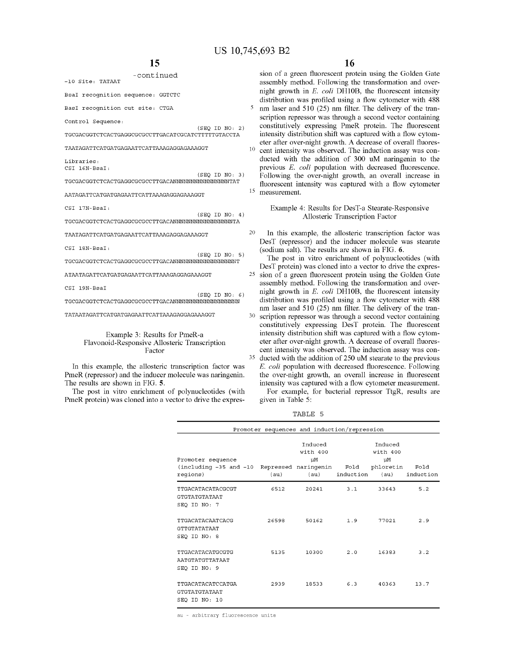-continued -10 Site, TATAAT **BsaI recognition sequence: GGTCTC BasI recognition cut site: CTGA Control Sequence:**   $(SEQ ID NO: 2)$ TGCGACGGTCTCACTGAGGCGCGCCTTGACATCGCATCTTTTTGTACCTA TAATAGATTCATGATGAGAATTCATTAAAGAGGAGAAAGGT **Libraries:**  CSI 16N-BsaI,  $(SEQ ID NO: 3)$ TGCGACGGTCTCACTGAGGCGCGCCTTGACANNNNNNNNNNNNNNNNTAT AATAGATTCATGATGAGAATTCATTAAAGAGGAGAAAGGT CSI 17N-BsaI,  $(SEQ ID NO; 4)$ TGCGACGGTCTCACTGAGGCGCGCCTTGACANNNNNNNNNNNNNNNNNTA TAATAGATTCATGATGAGAATTCATTAAAGAGGAGAAAGGT  $(SEO ID NO: 5)$ ATAATAGATTCATGATGAGAATTCATTAAAGAGGAGAAAGGT CSI 19N-BsaI

**16** 

sion of a green fluorescent protein using the Golden Gate assembly method. Following the transformation and overnight growth in E. *coli* DHl0B, the fluorescent intensity distribution was profiled using a flow cytometer with 488 nm laser and 510 (25) nm filter. The delivery of the transcription repressor was through a second vector containing constitutively expressing PmeR protein. The fluorescent intensity distribution shift was captured with a flow cytometer after over-night growth. A decrease of overall fluores- $10$  cent intensity was observed. The induction assay was conducted with the addition of 300 uM naringenin to the previous E. *coli* population with decreased fluorescence. Following the over-night growth, an overall increase in fluorescent intensity was captured with a flow cytometer 15 measurement.

> Example 4: Results for DesT-a Stearate-Responsive Allosteric Transcription Factor

20 In this example, the allosteric transcription factor was DesT (repressor) and the inducer molecule was stearate (sodium salt). The results are shown in FIG. **6.** 

The post in vitro enrichment of polynucleotides (with DesT protein) was cloned into a vector to drive the expres-25 sion of a green fluorescent protein using the Golden Gate assembly method. Following the transformation and overnight growth in E. *coli* DHl0B, the fluorescent intensity distribution was profiled using a flow cytometer with 488 nm laser and 510 (25) nm filter. The delivery of the tran-30 scription repressor was through a second vector containing constitutively expressing DesT protein. The fluorescent intensity distribution shift was captured with a flow cytometer after over-night growth. A decrease of overall fluorescent intensity was observed. The induction assay was con-35 ducted with the addition of 250 uM stearate to the previous E. *coli* population with decreased fluorescence. Following the over-night growth, an overall increase in fluorescent

intensity was captured with a flow cytometer measurement. For example, for bacterial repressor TtgR, results are given in Table 5:

TABLE 5

|                                                                                             |       | Promoter sequences and induction/repression |           |                                   |                   |
|---------------------------------------------------------------------------------------------|-------|---------------------------------------------|-----------|-----------------------------------|-------------------|
| Promoter sequence<br>(including -35 and -10 Repressed naringenin Fold phloretin<br>reqions) | (au)  | Induced<br>with 400<br>μM<br>(au)           | induction | Induced<br>with 400<br>μM<br>(au) | Fold<br>induction |
| TTGACATACATACGCGT<br>GTGTATGTATAAT<br>SEQ ID NO: 7                                          | 6512  | 20241                                       | 3.1       | 33643                             | 5.2               |
| TTGACATACAATCACG<br>GTTGTATATAAT<br>SEO ID NO: 8                                            | 26598 | 50162                                       | 1.9       | 77021                             | 2.9               |
| TTGACATACATGCGTG<br>AATGTATGTTATAAT<br>SEQ ID NO: 9                                         | 5135  | 10300                                       | 2.0       | 16383                             | 3.2               |
| TTGACATACATCCATGA<br><b>GTGTATGTATAAT</b><br>SEO ID NO: 10                                  | 2939  | 18533                                       | 6.3       | 40363                             | 13.7              |

au - arbitrary fluorescence units

CSI 18N-BsaI:

TGCGACGGTCTCACTGAGGCGCGCCTTGACANNNNNNNNNNNNNNNNNNT

 $(SEQ ID NO; 6)$ TGCGACGGTCTCACTGAGGCGCGCCTTGACANNNNNNNNNNNNNNNNNNN

TATAATAGATTCATGATGAGAATTCATTAAAGAGGAGAAAGGT

#### Example 3: Results for PmeR-a Flavonoid-Responsive Allosteric Transcription Factor

In this example, the allosteric transcription factor was PmeR (repressor) and the inducer molecule was naringenin. The results are shown in FIG. **5.** 

The post in vitro enrichment of polynucleotides (with PmeR protein) was cloned into a vector to drive the expres-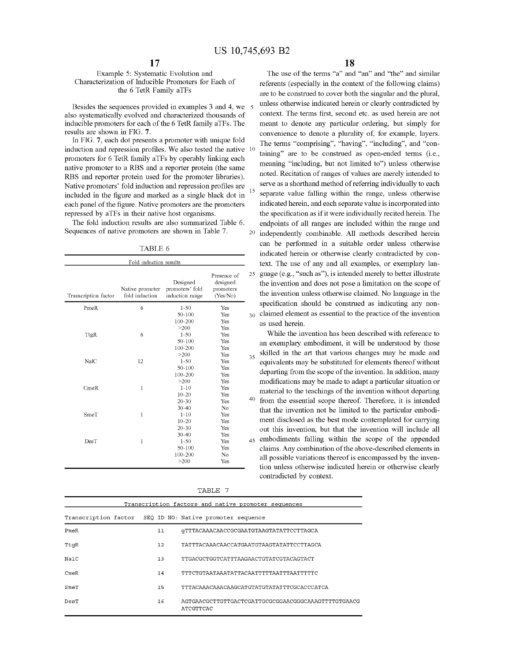#### Example 5: Systematic Evolution and Characterization of Inducible Promoters for Each of the 6 TetR Family aTFs

Besides the sequences provided in examples 3 and 4, we also systematically evolved and characterized thousands of inducible promoters for each of the 6 TetR family aTFs. The results are shown in FIG. **7.** 

In FIG. **7,** each dot presents a promoter with unique fold induction and repression profiles. We also tested the native promoters for 6 TetR family aTFs by operably linking each native promoter to a RBS and a reporter protein (the same RBS and reporter protein used for the promoter libraries). Native promoters' fold induction and repression profiles are included in the figure and marked as a single black dot in each panel of the figure. Native promoters are the promoters repressed by aTFs in their native host organisms.

The fold induction results are also summarized Table 6. Sequences of native promoters are shown in Table 7.

TABLE 6

| Fold induction results |                                   |                                                |                                                  |                |
|------------------------|-----------------------------------|------------------------------------------------|--------------------------------------------------|----------------|
| Transcription factor   | Native promoter<br>fold induction | Designed<br>promoters' fold<br>induction range | Presence of<br>designed<br>promoters<br>(Yes/No) | $\overline{c}$ |
| PmeR                   | 6                                 | $1 - 50$                                       | Yes                                              |                |
|                        |                                   | 50-100                                         | Yes                                              | 3              |
|                        |                                   | 100-200                                        | Yes                                              |                |
|                        |                                   | >200                                           | Yes                                              |                |
| TtgR                   | 6                                 | $1 - 50$                                       | Yes                                              |                |
|                        |                                   | 50-100                                         | Yes                                              |                |
|                        |                                   | 100-200                                        | Yes                                              |                |
|                        |                                   | >200                                           | Yes                                              | 3              |
| NalC                   | 12                                | $1 - 50$                                       | Yes                                              |                |
|                        |                                   | 50-100                                         | Yes                                              |                |
|                        |                                   | 100-200                                        | Yes                                              |                |
|                        |                                   | >200                                           | Yes                                              |                |
| CmeR                   | $\mathbf{1}$                      | $1 - 10$                                       | Yes                                              |                |
|                        |                                   | $10 - 20$                                      | Yes                                              |                |
|                        |                                   | $20 - 30$                                      | Yes                                              | $\overline{4}$ |
|                        |                                   | $30 - 40$                                      | No                                               |                |
| SmeT                   | $\mathbf{1}$                      | $1 - 10$                                       | Yes                                              |                |
|                        |                                   | $10 - 20$                                      | Yes                                              |                |
|                        |                                   | $20 - 30$                                      | Yes                                              |                |
|                        |                                   | $30 - 40$                                      | Yes                                              |                |
| DesT                   | 1                                 | $1 - 50$                                       | Yes                                              | 4              |
|                        |                                   | 50-100                                         | Yes                                              |                |
|                        |                                   | 100-200                                        | No                                               |                |
|                        |                                   | >200                                           | Yes                                              |                |
|                        |                                   |                                                |                                                  |                |

|--|

**18** 

The use of the terms "a" and "an" and "the" and similar referents (especially in the context of the following claims) are to be construed to cover both the singular and the plural, unless otherwise indicated herein or clearly contradicted by context. The terms first, second etc. as used herein are not meant to denote any particular ordering, but simply for convenience to denote a plurality of, for example, layers. The terms "comprising", "having", "including", and "containing" are to be construed as open-ended terms (i.e., meaning "including, but not limited to") unless otherwise noted. Recitation of ranges of values are merely intended to serve as a shorthand method of referring individually to each separate value falling within the range, unless otherwise indicated herein, and each separate value is incorporated into the specification as if it were individually recited herein. The endpoints of all ranges are included within the range and 20 independently combinable. All methods described herein can be performed in a suitable order unless otherwise indicated herein or otherwise clearly contradicted by context. The use of any and all examples, or exemplary lan- $25 \text{ gauge (e.g., "such as"), is intended merely to better illustrate}$ the invention and does not pose a limitation on the scope of the invention unless otherwise claimed. No language in the specification should be construed as indicating any non- $30<sub>0</sub>$  claimed element as essential to the practice of the invention as used herein.

While the invention has been described with reference to an exemplary embodiment, it will be understood by those skilled in the art that various changes may be made and equivalents may be substituted for elements thereof without departing from the scope of the invention. In addition, many modifications may be made to adapt a particular situation or material to the teachings of the invention without departing  $40$  from the essential scope thereof. Therefore, it is intended that the invention not be limited to the particular embodiment disclosed as the best mode contemplated for carrying out this invention, but that the invention will include all 45 embodiments falling within the scope of the appended claims. Any combination of the above-described elements in all possible variations thereof is encompassed by the invention unless otherwise indicated herein or otherwise clearly contradicted by context.

|      |         | Transcription factors and native promoter sequences            |
|------|---------|----------------------------------------------------------------|
|      |         | Transcription factor SEQ ID NO: Native promoter sequence       |
| PmeR | 11      | GTTTACAAACAACCGCGAATGTAAGTATATTCCTTAGCA                        |
| TtqR | $12 \,$ | TATTTACAAACAACCATGAATGTAAGTATATTCCTTAGCA                       |
| NalC | 13      | TTGACGCTGGTCATTTAAGAACTGTATCGTACAGTACT                         |
| CmeR | 14      | TTTCTGTAATAAATATTACAATTTTTAATTTAATTTTTC                        |
| SmeT | 15      | TTTACAAACAAACAAGCATGTATGTATTTTCGCACCCATCA                      |
| DesT | 16      | AGTGAACGCTTGTTGACTCGATTGCGGGAACGGCAAAGTTTTGTGAACG<br>ATCGTTCAC |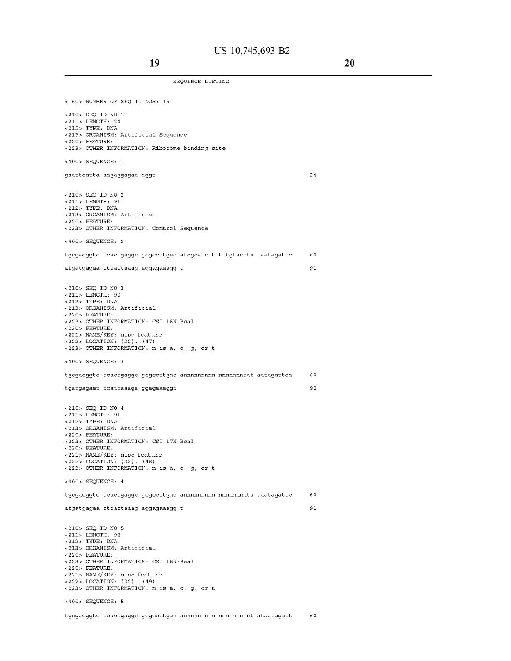SEQUENCE LISTING

**<160>** NUMBER OF SEQ ID NOS, 16 **<210>** SEQ ID NO 1 **<211>** LENGTH, 24 **<212>** TYPE, DNA **<213>** ORGANISM, **Artificial Sequence <220>** FEATURE, **<223>** OTHER INFORMATION, **Ribosome** binding **site <400>** SEQUENCE, 1 gaattcatta aagaggagaa aggt <210> SEQ ID NO 2 <211> LENGTH, 91 <212> TYPE, DNA <213> ORGANISM, Artificial <220> FEATURE, <223> OTHER INFORMATION, Control Sequence <400> SEQUENCE, 2 24 tgcgacggtc tcactgaggc gcgccttgac atcgcatctt tttgtaccta taatagattc 60 atgatgagaa ttcattaaag aggagaaagg t 91 <210> SEQ ID NO 3 <211> LENGTH, 90 <212> TYPE, DNA <213> ORGANISM, Artificial <220> FEATURE, <223> OTHER INFORMATION, CSI 16N-BsaI <220> FEATURE, <221> NAME/KEY, misc\_feature <222> LOCATION, (32) .. (47) <223> OTHER INFORMATION, n is a, c, g, or t <400> SEQUENCE, 3 **tgcgacggtc tcactgaggc gcgccttgac annnnnnnnn nnnnnnntat aatagattca 60**  tgatgagaat tcattaaaga ggagaaaggt 90 <210> SEQ ID NO 4 <211> LENGTH, 91 <212> TYPE, DNA <213> ORGANISM, Artificial <220> FEATURE, <223> OTHER INFORMATION, CSI 17N-BsaI <220> FEATURE, <221> NAME/KEY, misc\_feature <222> LOCATION, (32) .. (48) <223> OTHER INFORMATION, n is a, c, g, or t <400> SEQUENCE, 4 **tgcgacggtc tcactgaggc gcgccttgac annnnnnnnn nnnnnnnnta taatagattc 60**  atgatgagaa ttcattaaag aggagaaagg t 91 <210> SEQ ID NO 5 <211> LENGTH, 92 <212> TYPE, DNA <213> ORGANISM, Artificial  $<$  220 > FEATURE: <223> OTHER INFORMATION, CSI 18N-BsaI <220> FEATURE, <221> NAME/KEY, misc\_feature <222> LOCATION, (32) .. (49) <223> OTHER INFORMATION, n is a, c, g, or t <400> SEQUENCE, 5

**tgcgacggtc tcactgaggc gcgccttgac annnnnnnnn nnnnnnnnnt ataatagatt 60**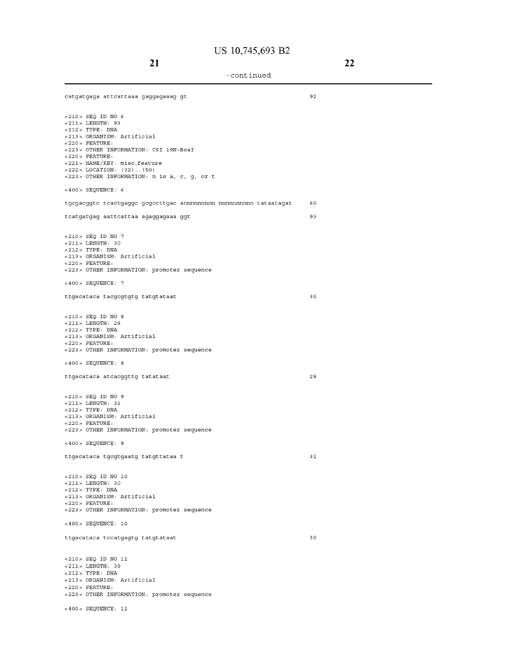| catgatgaga attcattaaa gaggagaaag gt                                                                                                                                                                                                                                                                 | 92 |
|-----------------------------------------------------------------------------------------------------------------------------------------------------------------------------------------------------------------------------------------------------------------------------------------------------|----|
| <210> SEQ ID NO 6<br>$<$ 211> LENGTH: 93<br>$<$ 212> TYPE: DNA<br><213> ORGANISM: Artificial<br>$<$ 220 > FEATURE:<br><223> OTHER INFORMATION: CSI 19N-BsaI<br>$<$ 220 > FEATURE:<br><221> NAME/KEY: misc_feature<br>$<222>$ LOCATION: $(32)$ $(50)$<br><223> OTHER INFORMATION: n is a, c, q, or t |    |
| $<$ 400> SEQUENCE: 6                                                                                                                                                                                                                                                                                |    |
| tgcgacggtc tcactgaggc gcgccttgac annnnnnnnnn nnnnnnnnnn tataatagat                                                                                                                                                                                                                                  | 60 |
| tcatgatgag aattcattaa agaggagaaa ggt                                                                                                                                                                                                                                                                | 93 |
| <210> SEQ ID NO 7<br><211> LENGTH: 30<br>$<$ 212> TYPE: DNA<br><213> ORGANISM: Artificial<br>$<$ 220 > FEATURE:<br><223> OTHER INFORMATION: promoter sequence<br>$<400>$ SEQUENCE: 7                                                                                                                |    |
| ttgacataca tacgcgtgtg tatgtataat                                                                                                                                                                                                                                                                    | 30 |
| $<$ 210 > SEQ ID NO 8<br>$< 211$ > LENGTH: 28<br>$<$ 212> TYPE: DNA<br><213> ORGANISM: Artificial<br>$<$ 220> FEATURE:<br><223> OTHER INFORMATION: promoter sequence                                                                                                                                |    |
| <400> SEQUENCE: 8                                                                                                                                                                                                                                                                                   |    |
| ttgacataca atcacggttg tatataat                                                                                                                                                                                                                                                                      | 28 |
| <210> SEQ ID NO 9<br>$<$ 211> LENGTH: 31<br>$<212>$ TYPE: DNA<br><213> ORGANISM: Artificial<br>$<$ 220 > FEATURE:<br><223> OTHER INFORMATION: promoter sequence                                                                                                                                     |    |
| $<$ 400> SEQUENCE: 9                                                                                                                                                                                                                                                                                |    |
| ttgacataca tgcgtgaatg tatgttataa t                                                                                                                                                                                                                                                                  | 31 |
| <210> SEQ ID NO 10<br>$<$ 211> LENGTH: 30<br>$<$ 212> TYPE: DNA<br><213> ORGANISM: Artificial<br>$<$ 220 > FEATURE:<br><223> OTHER INFORMATION: promoter sequence                                                                                                                                   |    |
| $<400>$ SEQUENCE: 10                                                                                                                                                                                                                                                                                |    |
| ttgacataca tccatgagtg tatgtataat                                                                                                                                                                                                                                                                    | 30 |
| $<$ 210> SEQ ID NO 11<br><211> LENGTH: 39<br>$<$ 212> TYPE: DNA<br><213> ORGANISM: Artificial<br>$<$ 220 > FEATURE:<br><223> OTHER INFORMATION: promoter sequence                                                                                                                                   |    |
| $<$ 400> SEQUENCE: 11                                                                                                                                                                                                                                                                               |    |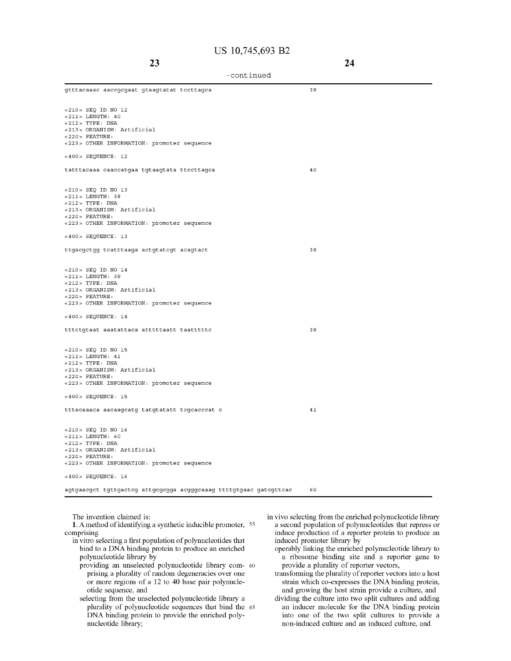| -continued |  |
|------------|--|
|------------|--|

| gtttacaaac aaccgcgaat gtaagtatat tecttagca                        | 39 |
|-------------------------------------------------------------------|----|
| $<$ 210> SEQ ID NO 12                                             |    |
| $< 211$ > LENGTH: 40                                              |    |
| $<$ 212> TYPE: DNA                                                |    |
| <213> ORGANISM: Artificial                                        |    |
| $<$ 220 > FEATURE:                                                |    |
| <223> OTHER INFORMATION: promoter sequence                        |    |
| $<400>$ SEQUENCE: 12                                              |    |
| tatttacaaa caaccatgaa tgtaagtata tteettagea                       | 40 |
| <210> SEQ ID NO 13                                                |    |
| $<$ 211> LENGTH: 38                                               |    |
| $<$ 212> TYPE: DNA                                                |    |
| <213> ORGANISM: Artificial                                        |    |
| $<$ 220 > FEATURE:                                                |    |
| <223> OTHER INFORMATION: promoter sequence                        |    |
| $<400>$ SEQUENCE: 13                                              |    |
| ttgacgctgg tcatttaaga actgtatcgt acagtact                         | 38 |
| <210> SEQ ID NO 14                                                |    |
| <211> LENGTH: 39                                                  |    |
| $<$ 212> TYPE: DNA                                                |    |
| <213> ORGANISM: Artificial                                        |    |
| $<$ 220 > FEATURE:<br><223> OTHER INFORMATION: promoter sequence  |    |
| $<400>$ SEQUENCE: 14                                              |    |
|                                                                   |    |
| tttetgtaat aaatattaea atttttaatt taattttte                        | 39 |
| <210> SEQ ID NO 15                                                |    |
| $< 211$ > LENGTH: 41                                              |    |
| $<$ 212> TYPE: DNA                                                |    |
| <213> ORGANISM: Artificial                                        |    |
| $<$ 220 > FEATURE:<br><223> OTHER INFORMATION: promoter sequence  |    |
| <400> SEQUENCE: 15                                                |    |
| tttacaaaca aacaagcatg tatgtatatt tegcacccat c                     | 41 |
|                                                                   |    |
| <210> SEQ ID NO 16<br>$<$ 211> LENGTH: 60                         |    |
| $<212>$ TYPE: DNA                                                 |    |
| <213> ORGANISM: Artificial                                        |    |
| $<$ 220 > FEATURE:                                                |    |
| <223> OTHER INFORMATION: promoter sequence                        |    |
| <400> SEQUENCE: 16                                                |    |
| agtgaacgct tgttgactcg attgcgcgga acgggcaaag ttttgtgaac gatcgttcac | 60 |

**The invention claimed is:** 

**1. A method of identifying a synthetic inducible promoter,** <sup>55</sup> **comprising** 

- **in vitro selecting a first population of polynucleotides that bind to a DNA binding protein to produce an enriched polynucleotide library by** 
	- **providing an unselected polynucleotide library com-** 60 **prising a plurality of random degeneracies over one or more regions of a 12 to 40 base pair polynucleotide sequence, and**
	- **selecting from the unselected polynucleotide library a plurality of polynucleotide sequences that bind the** <sup>65</sup> **DNA binding protein to provide the enriched polynucleotide library;**
- in vivo selecting from the enriched polynucleotide library a second population of polynucleotides that repress or induce production of a reporter protein to produce an induced promoter library by
	- operably linking the enriched polynucleotide library to a ribosome binding site and a reporter gene to provide a plurality of reporter vectors,
	- transforming the plurality of reporter vectors into a host strain which co-expresses the DNA binding protein, and growing the host strain provide a culture, and
	- dividing the culture into two split cultures and adding an inducer molecule for the DNA binding protein into one of the two split cultures to provide a non-induced culture and an induced culture, and